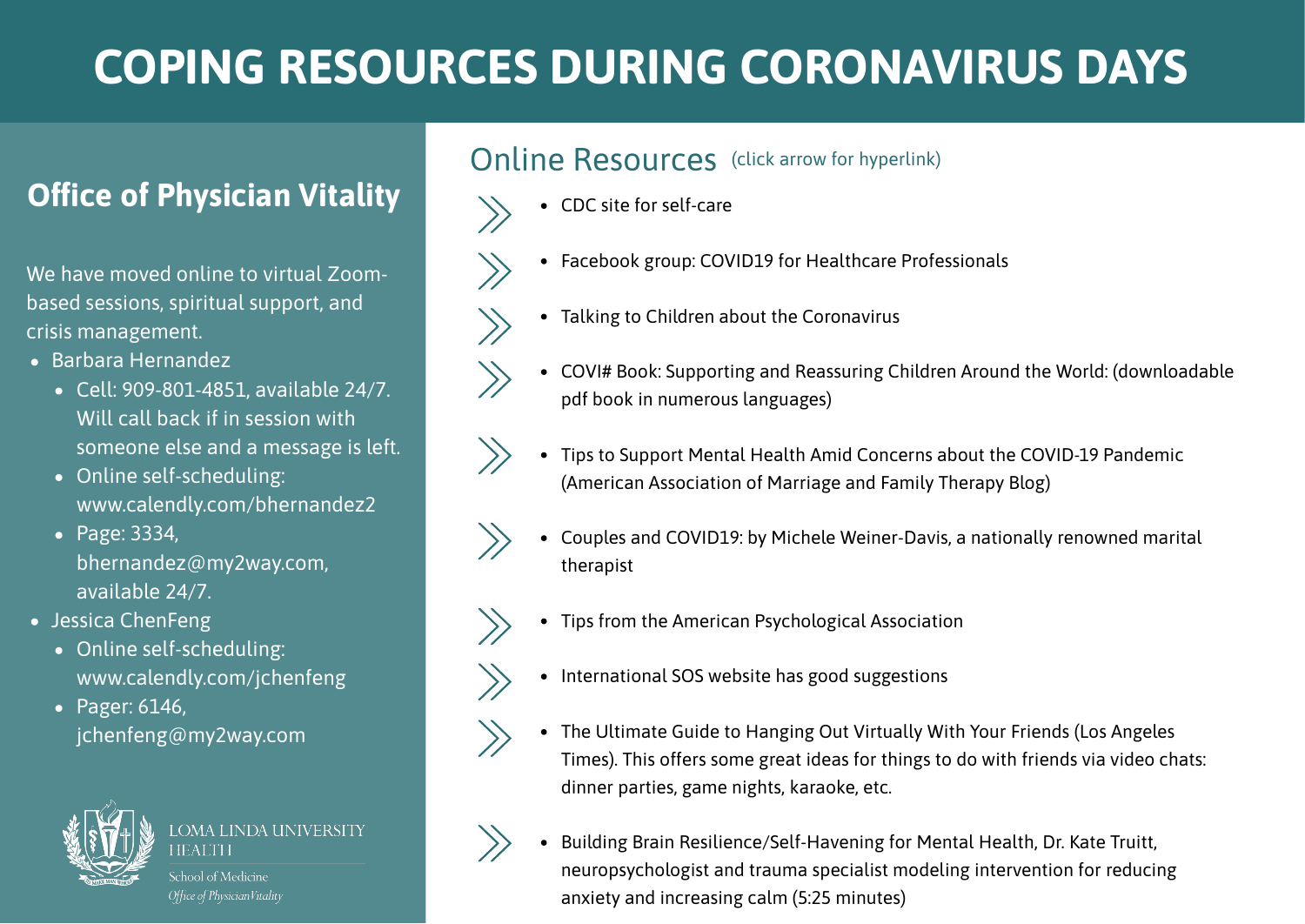# **COPING RESOURCES DURING CORONAVIRUS DAYS**

## **Office of Physician Vitality**

We have moved online to virtual Zoombased sessions, spiritual support, and crisis management.

- Barbara Hernandez
	- Cell: 909-801-4851, available 24/7. Will call back if in session with someone else and a message is left.
	- Online self-scheduling: www.calendly.com/bhernandez2
	- Page: 3334, bhernandez@my2way.com, available 24/7.
- Jessica ChenFeng
	- Online self-scheduling: www.calendly.com/jchenfeng
	- Pager: 6146, jchenfeng@my2way.com



OMA LINDA UNIVERSITY IFAI TH

.<br>chool of Medicine Office of PhysicianVitality

### Online Resources (click arrow for hyperlink)

- CDC site for self-care
	- Facebook group: COVID19 for Healthcare Professionals
- Talking to Children about the Coronavirus
- COVI# Book: Supporting and Reassuring Children Around the World: (downloadable pdf book in numerous languages)
- Tips to Support Mental Health Amid Concerns about the COVID-19 Pandemic (American Association of Marriage and Family Therapy Blog)
- Couples and COVID19: by Michele Weiner-Davis, a nationally renowned marital therapist
	- Tips from the American Psychological Association
	- International SOS website has good suggestions
	- The Ultimate Guide to Hanging Out Virtually With Your Friends (Los Angeles Times). This offers some great ideas for things to do with friends via video chats: dinner parties, game nights, karaoke, etc.



Building Brain Resilience/Self-Havening for Mental Health, Dr. Kate Truitt, neuropsychologist and trauma specialist modeling intervention for reducing anxiety and increasing calm (5:25 minutes)